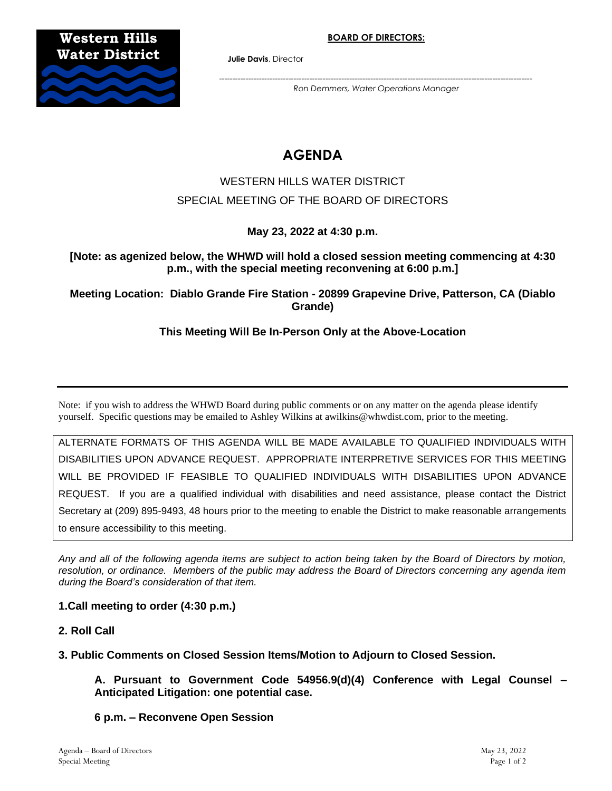

**Julie Davis**, Director

*---------------------------------------------------------------------------------------------------------------------- Ron Demmers, Water Operations Manager*

# **AGENDA**

## WESTERN HILLS WATER DISTRICT SPECIAL MEETING OF THE BOARD OF DIRECTORS

**May 23, 2022 at 4:30 p.m.**

**[Note: as agenized below, the WHWD will hold a closed session meeting commencing at 4:30 p.m., with the special meeting reconvening at 6:00 p.m.]**

**Meeting Location: Diablo Grande Fire Station - 20899 Grapevine Drive, Patterson, CA (Diablo Grande)**

**This Meeting Will Be In-Person Only at the Above-Location**

Note: if you wish to address the WHWD Board during public comments or on any matter on the agenda please identify yourself. Specific questions may be emailed to Ashley Wilkins at awilkins@whwdist.com, prior to the meeting.

ALTERNATE FORMATS OF THIS AGENDA WILL BE MADE AVAILABLE TO QUALIFIED INDIVIDUALS WITH DISABILITIES UPON ADVANCE REQUEST. APPROPRIATE INTERPRETIVE SERVICES FOR THIS MEETING WILL BE PROVIDED IF FEASIBLE TO QUALIFIED INDIVIDUALS WITH DISABILITIES UPON ADVANCE REQUEST. If you are a qualified individual with disabilities and need assistance, please contact the District Secretary at (209) 895-9493, 48 hours prior to the meeting to enable the District to make reasonable arrangements to ensure accessibility to this meeting.

*Any and all of the following agenda items are subject to action being taken by the Board of Directors by motion, resolution, or ordinance. Members of the public may address the Board of Directors concerning any agenda item during the Board's consideration of that item.*

#### **1.Call meeting to order (4:30 p.m.)**

- **2. Roll Call**
- **3. Public Comments on Closed Session Items/Motion to Adjourn to Closed Session.**

**A. Pursuant to Government Code 54956.9(d)(4) Conference with Legal Counsel – Anticipated Litigation: one potential case.** 

**6 p.m. – Reconvene Open Session**